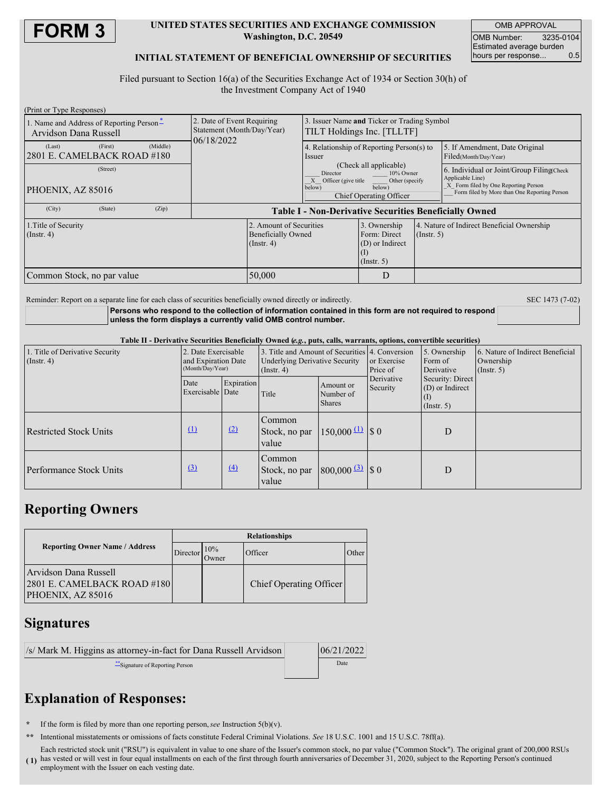

### **UNITED STATES SECURITIES AND EXCHANGE COMMISSION Washington, D.C. 20549**

OMB APPROVAL OMB Number: 3235-0104 Estimated average burden<br>hours per response... 0.5 hours per response...

## **INITIAL STATEMENT OF BENEFICIAL OWNERSHIP OF SECURITIES**

Filed pursuant to Section 16(a) of the Securities Exchange Act of 1934 or Section 30(h) of the Investment Company Act of 1940

| (Print or Type Responses)                                         |                                                                        |                                                                                                                                                |   |                                                                |                                                                                                                                                       |
|-------------------------------------------------------------------|------------------------------------------------------------------------|------------------------------------------------------------------------------------------------------------------------------------------------|---|----------------------------------------------------------------|-------------------------------------------------------------------------------------------------------------------------------------------------------|
| 1. Name and Address of Reporting Person-<br>Arvidson Dana Russell | 2. Date of Event Requiring<br>Statement (Month/Day/Year)<br>06/18/2022 | 3. Issuer Name and Ticker or Trading Symbol<br>TILT Holdings Inc. [TLLTF]                                                                      |   |                                                                |                                                                                                                                                       |
| (Middle)<br>(Last)<br>(First)<br>2801 E. CAMELBACK ROAD #180      |                                                                        | 4. Relationship of Reporting Person(s) to<br>Issuer                                                                                            |   |                                                                | 5. If Amendment, Date Original<br>Filed(Month/Day/Year)                                                                                               |
| (Street)<br>PHOENIX, AZ 85016                                     |                                                                        | (Check all applicable)<br>Director<br>10% Owner<br>Officer (give title<br>Other (specify<br>below)<br>below)<br><b>Chief Operating Officer</b> |   |                                                                | 6. Individual or Joint/Group Filing Check<br>Applicable Line)<br>X Form filed by One Reporting Person<br>Form filed by More than One Reporting Person |
| (City)<br>(State)<br>(Zip)                                        | <b>Table I - Non-Derivative Securities Beneficially Owned</b>          |                                                                                                                                                |   |                                                                |                                                                                                                                                       |
| 1. Title of Security<br>$($ Instr. 4 $)$                          |                                                                        | 2. Amount of Securities<br>3. Ownership<br><b>Beneficially Owned</b><br>$($ Instr. 4 $)$                                                       |   | 4. Nature of Indirect Beneficial Ownership<br>$($ Instr. 5 $)$ |                                                                                                                                                       |
| 50,000<br>Common Stock, no par value                              |                                                                        |                                                                                                                                                | D |                                                                |                                                                                                                                                       |

Reminder: Report on a separate line for each class of securities beneficially owned directly or indirectly. SEC 1473 (7-02)

**Persons who respond to the collection of information contained in this form are not required to respond unless the form displays a currently valid OMB control number.**

Table II - Derivative Securities Beneficially Owned (e.g., puts, calls, warrants, options, convertible securities)

| 1. Title of Derivative Security<br>$($ Instr. 4 $)$ | 2. Date Exercisable<br>and Expiration Date<br>(Month/Day/Year) |                  | $\sim$ $\sim$ $\sim$<br>3. Title and Amount of Securities 4. Conversion<br><b>Underlying Derivative Security</b><br>$($ Instr. 4 $)$ |                                                     | or Exercise<br>Price of | 5. Ownership<br>Form of<br>Derivative              | 6. Nature of Indirect Beneficial<br>Ownership<br>$($ Instr. 5 $)$ |
|-----------------------------------------------------|----------------------------------------------------------------|------------------|--------------------------------------------------------------------------------------------------------------------------------------|-----------------------------------------------------|-------------------------|----------------------------------------------------|-------------------------------------------------------------------|
|                                                     | Date<br>Exercisable Date                                       | Expiration       | Title                                                                                                                                | Amount or<br>Number of<br><b>Shares</b>             | Derivative<br>Security  | Security: Direct<br>(D) or Indirect<br>(Insert, 5) |                                                                   |
| <b>Restricted Stock Units</b>                       | $\Omega$                                                       | (2)              | Common<br>Stock, no par<br>value                                                                                                     | $150,000 \stackrel{\text{(1)}}{\longrightarrow} 80$ |                         | D                                                  |                                                                   |
| Performance Stock Units                             | $\left(3\right)$                                               | $\left(4\right)$ | Common<br>Stock, no par<br>value                                                                                                     | $800,000 \frac{3}{2}$ \$ 0                          |                         | D                                                  |                                                                   |

## **Reporting Owners**

|                                                                               | <b>Relationships</b> |              |                         |        |  |  |
|-------------------------------------------------------------------------------|----------------------|--------------|-------------------------|--------|--|--|
| <b>Reporting Owner Name / Address</b>                                         | Director             | 10%<br>Owner | Officer                 | Other. |  |  |
| Arvidson Dana Russell<br>$[2801]$ E. CAMELBACK ROAD #180<br>PHOENIX, AZ 85016 |                      |              | Chief Operating Officer |        |  |  |

# **Signatures**

| /s/ Mark M. Higgins as attorney-in-fact for Dana Russell Arvidson | 06/21/2022 |
|-------------------------------------------------------------------|------------|
| Signature of Reporting Person                                     | Date       |

# **Explanation of Responses:**

- **\*** If the form is filed by more than one reporting person,*see* Instruction 5(b)(v).
- **\*\*** Intentional misstatements or omissions of facts constitute Federal Criminal Violations. *See* 18 U.S.C. 1001 and 15 U.S.C. 78ff(a).
- **( 1)** has vested or will vest in four equal installments on each of the first through fourth anniversaries of December 31, 2020, subject to the Reporting Person's continued Each restricted stock unit ("RSU") is equivalent in value to one share of the Issuer's common stock, no par value ("Common Stock"). The original grant of 200,000 RSUs employment with the Issuer on each vesting date.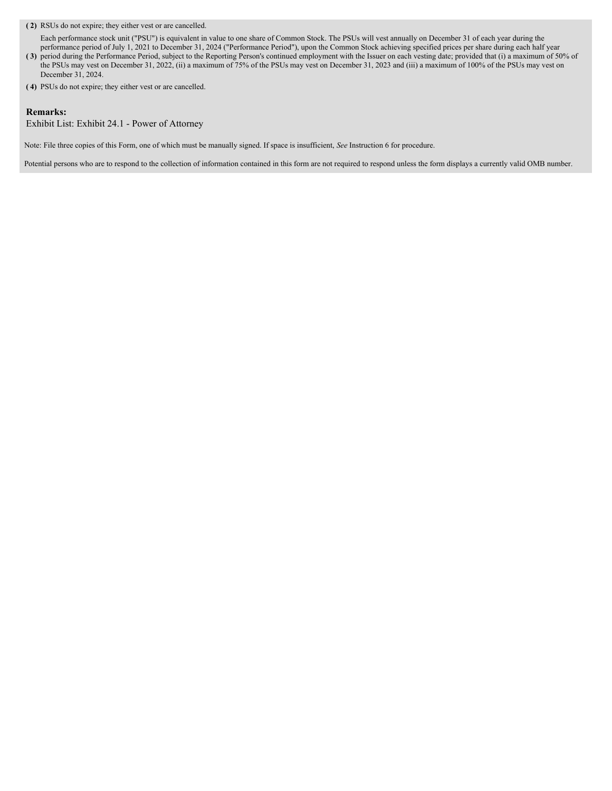### **( 2)** RSUs do not expire; they either vest or are cancelled.

Each performance stock unit ("PSU") is equivalent in value to one share of Common Stock. The PSUs will vest annually on December 31 of each year during the performance period of July 1, 2021 to December 31, 2024 ("Performance Period"), upon the Common Stock achieving specified prices per share during each half year

- **( 3)** period during the Performance Period, subject to the Reporting Person's continued employment with the Issuer on each vesting date; provided that (i) a maximum of 50% of the PSUs may vest on December 31, 2022, (ii) a maximum of 75% of the PSUs may vest on December 31, 2023 and (iii) a maximum of 100% of the PSUs may vest on December 31, 2024.
- **( 4)** PSUs do not expire; they either vest or are cancelled.

### **Remarks:**

Exhibit List: Exhibit 24.1 - Power of Attorney

Note: File three copies of this Form, one of which must be manually signed. If space is insufficient, *See* Instruction 6 for procedure.

Potential persons who are to respond to the collection of information contained in this form are not required to respond unless the form displays a currently valid OMB number.